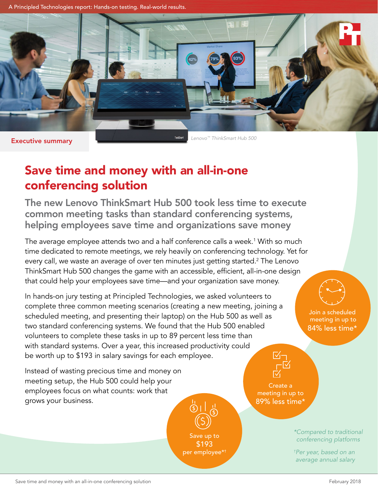A Principled Technologies report: Hands-on testing. Real-world results.



Executive summary

*Lenovo™ ThinkSmart Hub 500*

# Save time and money with an all-in-one conferencing solution

The new Lenovo ThinkSmart Hub 500 took less time to execute common meeting tasks than standard conferencing systems, helping employees save time and organizations save money

The average employee attends two and a half conference calls a week.<sup>1</sup> With so much time dedicated to remote meetings, we rely heavily on conferencing technology. Yet for every call, we waste an average of over ten minutes just getting started.<sup>2</sup> The Lenovo ThinkSmart Hub 500 changes the game with an accessible, efficient, all-in-one design that could help your employees save time—and your organization save money.

In hands-on jury testing at Principled Technologies, we asked volunteers to complete three common meeting scenarios (creating a new meeting, joining a scheduled meeting, and presenting their laptop) on the Hub 500 as well as two standard conferencing systems. We found that the Hub 500 enabled volunteers to complete these tasks in up to 89 percent less time than with standard systems. Over a year, this increased productivity could be worth up to \$193 in salary savings for each employee.  $\mathbb{V}_{\mathbb{I}}-$ 

Instead of wasting precious time and money on meeting setup, the Hub 500 could help your employees focus on what counts: work that grows your business.



 meeting in up to 84% less time\*

Join a scheduled

Create a meeting in up to 89% less time\*

> *\*Compared to traditional conferencing platforms*

*† Per year, based on an average annual salary*